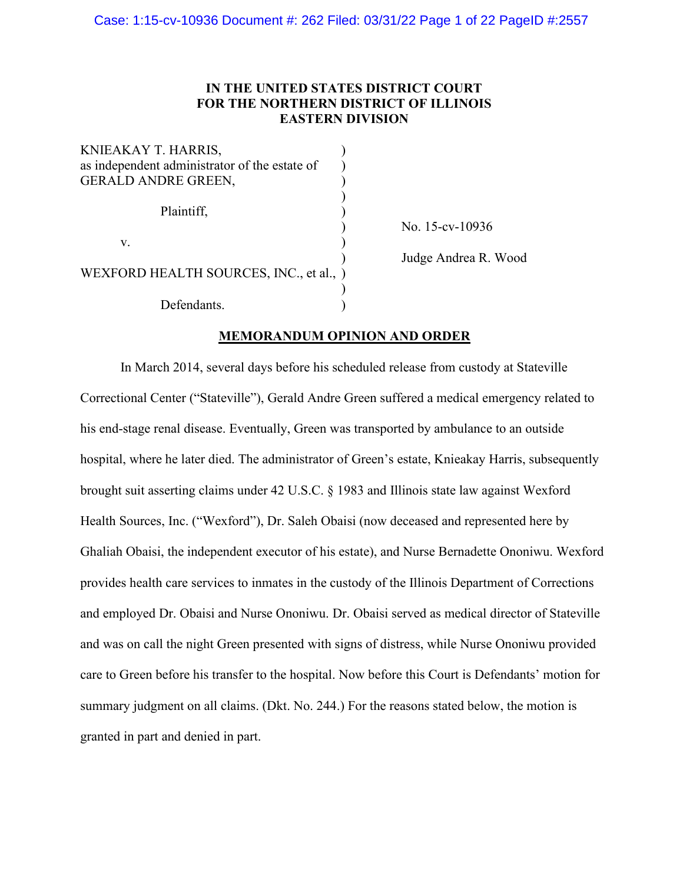# **IN THE UNITED STATES DISTRICT COURT FOR THE NORTHERN DISTRICT OF ILLINOIS EASTERN DIVISION**

| KNIEAKAY T. HARRIS,<br>as independent administrator of the estate of<br><b>GERALD ANDRE GREEN,</b> |  |
|----------------------------------------------------------------------------------------------------|--|
| Plaintiff,                                                                                         |  |
| V.                                                                                                 |  |
| WEXFORD HEALTH SOURCES, INC., et al., )                                                            |  |
| Defendants.                                                                                        |  |

) No. 15-cv-10936

) Judge Andrea R. Wood

# **MEMORANDUM OPINION AND ORDER**

In March 2014, several days before his scheduled release from custody at Stateville Correctional Center ("Stateville"), Gerald Andre Green suffered a medical emergency related to his end-stage renal disease. Eventually, Green was transported by ambulance to an outside hospital, where he later died. The administrator of Green's estate, Knieakay Harris, subsequently brought suit asserting claims under 42 U.S.C. § 1983 and Illinois state law against Wexford Health Sources, Inc. ("Wexford"), Dr. Saleh Obaisi (now deceased and represented here by Ghaliah Obaisi, the independent executor of his estate), and Nurse Bernadette Ononiwu. Wexford provides health care services to inmates in the custody of the Illinois Department of Corrections and employed Dr. Obaisi and Nurse Ononiwu. Dr. Obaisi served as medical director of Stateville and was on call the night Green presented with signs of distress, while Nurse Ononiwu provided care to Green before his transfer to the hospital. Now before this Court is Defendants' motion for summary judgment on all claims. (Dkt. No. 244.) For the reasons stated below, the motion is granted in part and denied in part.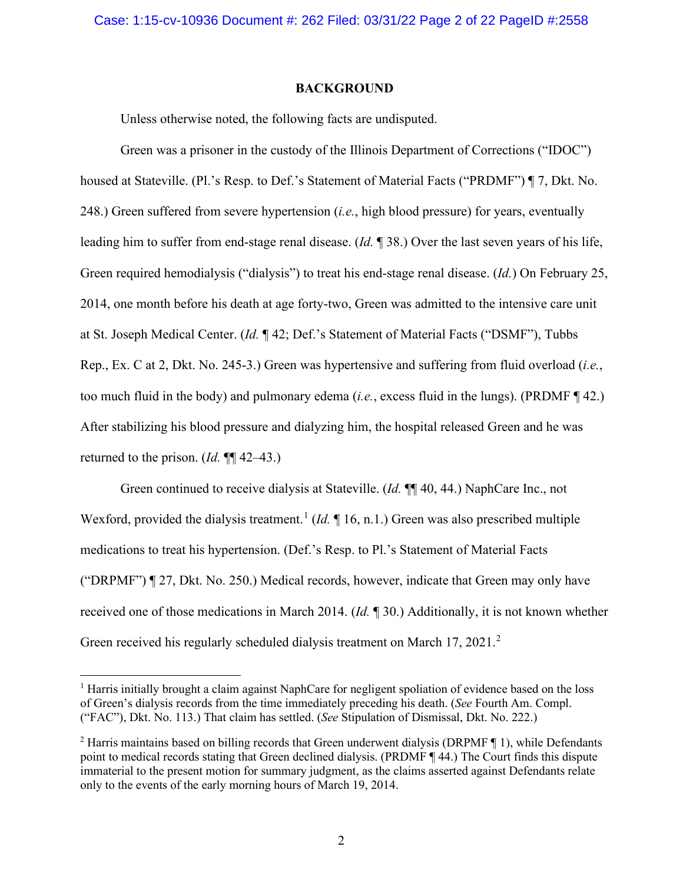# **BACKGROUND**

Unless otherwise noted, the following facts are undisputed.

Green was a prisoner in the custody of the Illinois Department of Corrections ("IDOC") housed at Stateville. (Pl.'s Resp. to Def.'s Statement of Material Facts ("PRDMF") ¶ 7, Dkt. No. 248.) Green suffered from severe hypertension (*i.e.*, high blood pressure) for years, eventually leading him to suffer from end-stage renal disease. (*Id.* ¶ 38.) Over the last seven years of his life, Green required hemodialysis ("dialysis") to treat his end-stage renal disease. (*Id.*) On February 25, 2014, one month before his death at age forty-two, Green was admitted to the intensive care unit at St. Joseph Medical Center. (*Id.* ¶ 42; Def.'s Statement of Material Facts ("DSMF"), Tubbs Rep., Ex. C at 2, Dkt. No. 245-3.) Green was hypertensive and suffering from fluid overload (*i.e.*, too much fluid in the body) and pulmonary edema (*i.e.*, excess fluid in the lungs). (PRDMF ¶ 42.) After stabilizing his blood pressure and dialyzing him, the hospital released Green and he was returned to the prison. (*Id.* ¶¶ 42–43.)

Green continued to receive dialysis at Stateville. (*Id.* ¶¶ 40, 44.) NaphCare Inc., not Wexford, provided the dialysis treatment.<sup>[1](#page-1-0)</sup> (*Id.* 16, n.1.) Green was also prescribed multiple medications to treat his hypertension. (Def.'s Resp. to Pl.'s Statement of Material Facts ("DRPMF") ¶ 27, Dkt. No. 250.) Medical records, however, indicate that Green may only have received one of those medications in March 2014. (*Id.* ¶ 30.) Additionally, it is not known whether Green received his regularly scheduled dialysis treatment on March 17, [2](#page-1-1)021.<sup>2</sup>

<span id="page-1-0"></span><sup>1</sup> Harris initially brought a claim against NaphCare for negligent spoliation of evidence based on the loss of Green's dialysis records from the time immediately preceding his death. (*See* Fourth Am. Compl. ("FAC"), Dkt. No. 113.) That claim has settled. (*See* Stipulation of Dismissal, Dkt. No. 222.)

<span id="page-1-1"></span><sup>2</sup> Harris maintains based on billing records that Green underwent dialysis (DRPMF ¶ 1), while Defendants point to medical records stating that Green declined dialysis. (PRDMF ¶ 44.) The Court finds this dispute immaterial to the present motion for summary judgment, as the claims asserted against Defendants relate only to the events of the early morning hours of March 19, 2014.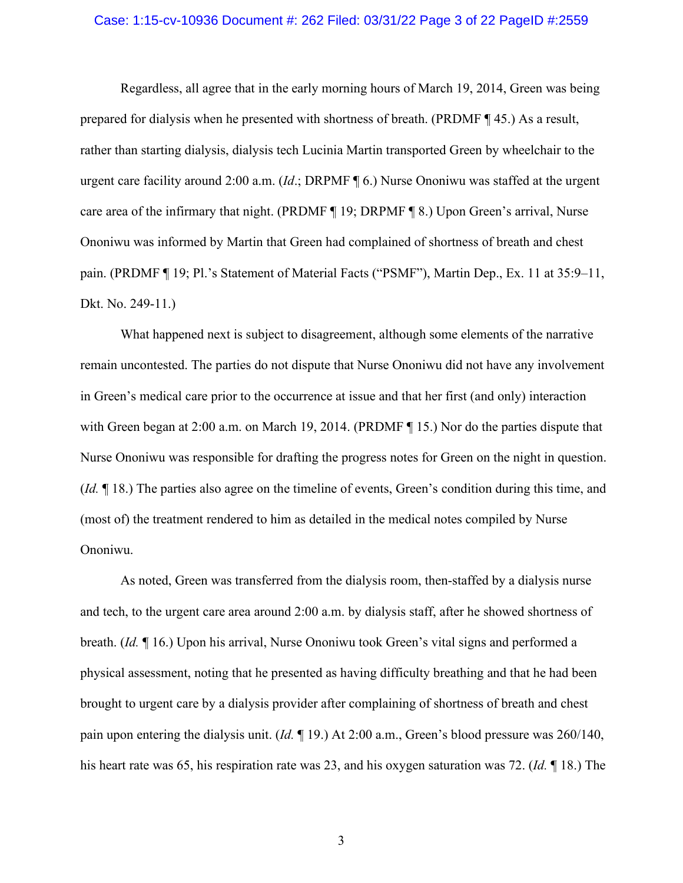#### Case: 1:15-cv-10936 Document #: 262 Filed: 03/31/22 Page 3 of 22 PageID #:2559

Regardless, all agree that in the early morning hours of March 19, 2014, Green was being prepared for dialysis when he presented with shortness of breath. (PRDMF ¶ 45.) As a result, rather than starting dialysis, dialysis tech Lucinia Martin transported Green by wheelchair to the urgent care facility around 2:00 a.m. (*Id*.; DRPMF ¶ 6.) Nurse Ononiwu was staffed at the urgent care area of the infirmary that night. (PRDMF ¶ 19; DRPMF ¶ 8.) Upon Green's arrival, Nurse Ononiwu was informed by Martin that Green had complained of shortness of breath and chest pain. (PRDMF ¶ 19; Pl.'s Statement of Material Facts ("PSMF"), Martin Dep., Ex. 11 at 35:9–11, Dkt. No. 249-11.)

What happened next is subject to disagreement, although some elements of the narrative remain uncontested. The parties do not dispute that Nurse Ononiwu did not have any involvement in Green's medical care prior to the occurrence at issue and that her first (and only) interaction with Green began at 2:00 a.m. on March 19, 2014. (PRDMF ¶ 15.) Nor do the parties dispute that Nurse Ononiwu was responsible for drafting the progress notes for Green on the night in question. (*Id.* ¶ 18.) The parties also agree on the timeline of events, Green's condition during this time, and (most of) the treatment rendered to him as detailed in the medical notes compiled by Nurse Ononiwu.

As noted, Green was transferred from the dialysis room, then-staffed by a dialysis nurse and tech, to the urgent care area around 2:00 a.m. by dialysis staff, after he showed shortness of breath. (*Id.* ¶ 16.) Upon his arrival, Nurse Ononiwu took Green's vital signs and performed a physical assessment, noting that he presented as having difficulty breathing and that he had been brought to urgent care by a dialysis provider after complaining of shortness of breath and chest pain upon entering the dialysis unit. (*Id.* ¶ 19.) At 2:00 a.m., Green's blood pressure was 260/140, his heart rate was 65, his respiration rate was 23, and his oxygen saturation was 72. (*Id.* ¶ 18.) The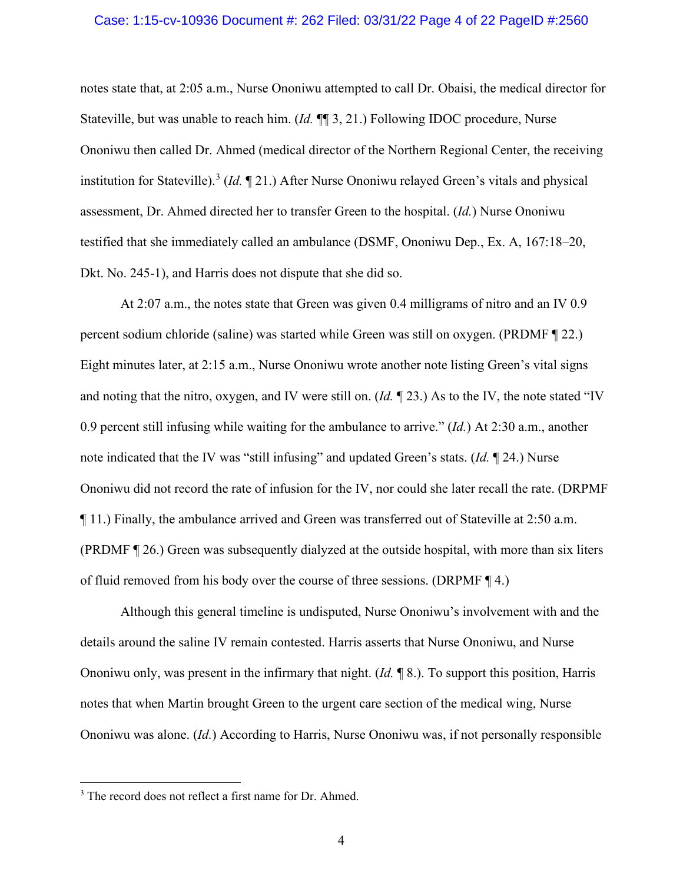#### Case: 1:15-cv-10936 Document #: 262 Filed: 03/31/22 Page 4 of 22 PageID #:2560

notes state that, at 2:05 a.m., Nurse Ononiwu attempted to call Dr. Obaisi, the medical director for Stateville, but was unable to reach him. (*Id.* ¶¶ 3, 21.) Following IDOC procedure, Nurse Ononiwu then called Dr. Ahmed (medical director of the Northern Regional Center, the receiving institution for Stateville). [3](#page-3-0) (*Id.* ¶ 21.) After Nurse Ononiwu relayed Green's vitals and physical assessment, Dr. Ahmed directed her to transfer Green to the hospital. (*Id.*) Nurse Ononiwu testified that she immediately called an ambulance (DSMF, Ononiwu Dep., Ex. A, 167:18–20, Dkt. No. 245-1), and Harris does not dispute that she did so.

At 2:07 a.m., the notes state that Green was given 0.4 milligrams of nitro and an IV 0.9 percent sodium chloride (saline) was started while Green was still on oxygen. (PRDMF ¶ 22.) Eight minutes later, at 2:15 a.m., Nurse Ononiwu wrote another note listing Green's vital signs and noting that the nitro, oxygen, and IV were still on. (*Id.* ¶ 23.) As to the IV, the note stated "IV 0.9 percent still infusing while waiting for the ambulance to arrive." (*Id.*) At 2:30 a.m., another note indicated that the IV was "still infusing" and updated Green's stats. (*Id.* ¶ 24.) Nurse Ononiwu did not record the rate of infusion for the IV, nor could she later recall the rate. (DRPMF ¶ 11.) Finally, the ambulance arrived and Green was transferred out of Stateville at 2:50 a.m. (PRDMF ¶ 26.) Green was subsequently dialyzed at the outside hospital, with more than six liters of fluid removed from his body over the course of three sessions. (DRPMF ¶ 4.)

Although this general timeline is undisputed, Nurse Ononiwu's involvement with and the details around the saline IV remain contested. Harris asserts that Nurse Ononiwu, and Nurse Ononiwu only, was present in the infirmary that night. (*Id.* ¶ 8.). To support this position, Harris notes that when Martin brought Green to the urgent care section of the medical wing, Nurse Ononiwu was alone. (*Id.*) According to Harris, Nurse Ononiwu was, if not personally responsible

<span id="page-3-0"></span><sup>&</sup>lt;sup>3</sup> The record does not reflect a first name for Dr. Ahmed.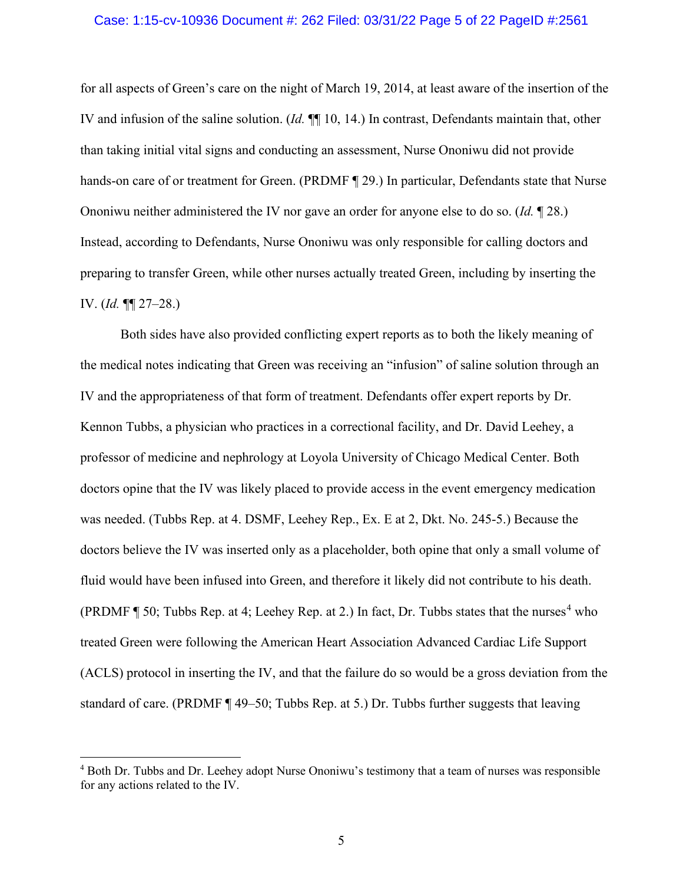## Case: 1:15-cv-10936 Document #: 262 Filed: 03/31/22 Page 5 of 22 PageID #:2561

for all aspects of Green's care on the night of March 19, 2014, at least aware of the insertion of the IV and infusion of the saline solution. (*Id.* ¶¶ 10, 14.) In contrast, Defendants maintain that, other than taking initial vital signs and conducting an assessment, Nurse Ononiwu did not provide hands-on care of or treatment for Green. (PRDMF ¶ 29.) In particular, Defendants state that Nurse Ononiwu neither administered the IV nor gave an order for anyone else to do so. (*Id.* ¶ 28.) Instead, according to Defendants, Nurse Ononiwu was only responsible for calling doctors and preparing to transfer Green, while other nurses actually treated Green, including by inserting the IV. (*Id.* ¶¶ 27–28.)

Both sides have also provided conflicting expert reports as to both the likely meaning of the medical notes indicating that Green was receiving an "infusion" of saline solution through an IV and the appropriateness of that form of treatment. Defendants offer expert reports by Dr. Kennon Tubbs, a physician who practices in a correctional facility, and Dr. David Leehey, a professor of medicine and nephrology at Loyola University of Chicago Medical Center. Both doctors opine that the IV was likely placed to provide access in the event emergency medication was needed. (Tubbs Rep. at 4. DSMF, Leehey Rep., Ex. E at 2, Dkt. No. 245-5.) Because the doctors believe the IV was inserted only as a placeholder, both opine that only a small volume of fluid would have been infused into Green, and therefore it likely did not contribute to his death. (PRDMF  $\P$  50; Tubbs Rep. at [4](#page-4-0); Leehey Rep. at 2.) In fact, Dr. Tubbs states that the nurses<sup>4</sup> who treated Green were following the American Heart Association Advanced Cardiac Life Support (ACLS) protocol in inserting the IV, and that the failure do so would be a gross deviation from the standard of care. (PRDMF ¶ 49–50; Tubbs Rep. at 5.) Dr. Tubbs further suggests that leaving

<span id="page-4-0"></span><sup>4</sup> Both Dr. Tubbs and Dr. Leehey adopt Nurse Ononiwu's testimony that a team of nurses was responsible for any actions related to the IV.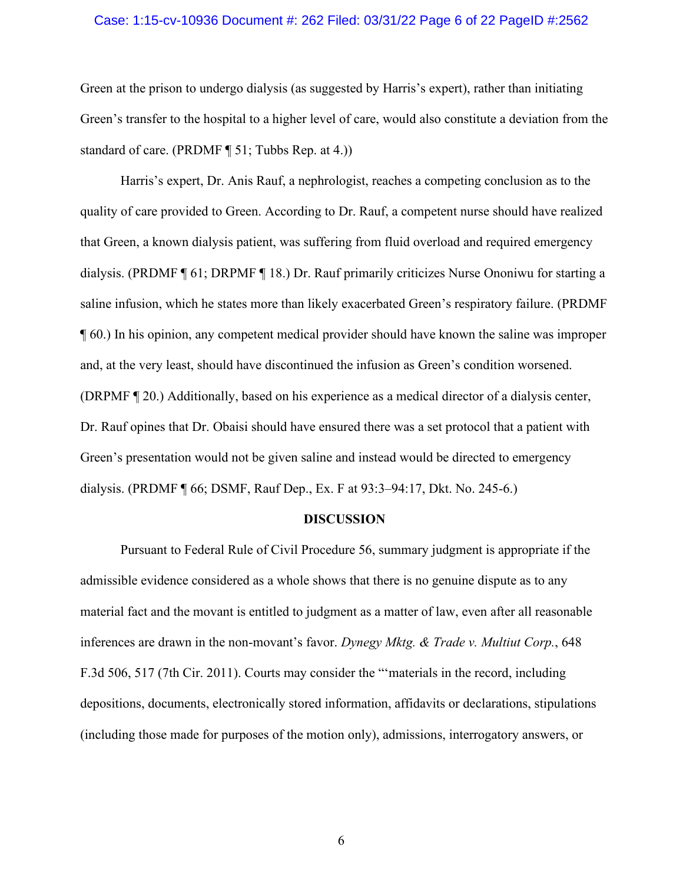# Case: 1:15-cv-10936 Document #: 262 Filed: 03/31/22 Page 6 of 22 PageID #:2562

Green at the prison to undergo dialysis (as suggested by Harris's expert), rather than initiating Green's transfer to the hospital to a higher level of care, would also constitute a deviation from the standard of care. (PRDMF ¶ 51; Tubbs Rep. at 4.))

Harris's expert, Dr. Anis Rauf, a nephrologist, reaches a competing conclusion as to the quality of care provided to Green. According to Dr. Rauf, a competent nurse should have realized that Green, a known dialysis patient, was suffering from fluid overload and required emergency dialysis. (PRDMF ¶ 61; DRPMF ¶ 18.) Dr. Rauf primarily criticizes Nurse Ononiwu for starting a saline infusion, which he states more than likely exacerbated Green's respiratory failure. (PRDMF ¶ 60.) In his opinion, any competent medical provider should have known the saline was improper and, at the very least, should have discontinued the infusion as Green's condition worsened. (DRPMF ¶ 20.) Additionally, based on his experience as a medical director of a dialysis center, Dr. Rauf opines that Dr. Obaisi should have ensured there was a set protocol that a patient with Green's presentation would not be given saline and instead would be directed to emergency dialysis. (PRDMF ¶ 66; DSMF, Rauf Dep., Ex. F at 93:3–94:17, Dkt. No. 245-6.)

#### **DISCUSSION**

Pursuant to Federal Rule of Civil Procedure 56, summary judgment is appropriate if the admissible evidence considered as a whole shows that there is no genuine dispute as to any material fact and the movant is entitled to judgment as a matter of law, even after all reasonable inferences are drawn in the non-movant's favor. *Dynegy Mktg. & Trade v. Multiut Corp.*, 648 F.3d 506, 517 (7th Cir. 2011). Courts may consider the "'materials in the record, including depositions, documents, electronically stored information, affidavits or declarations, stipulations (including those made for purposes of the motion only), admissions, interrogatory answers, or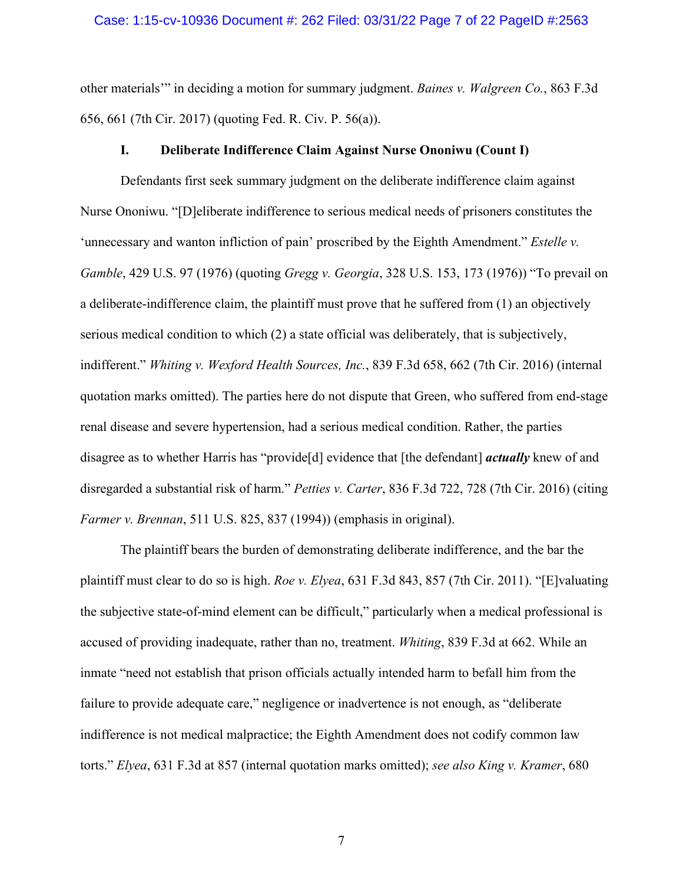### Case: 1:15-cv-10936 Document #: 262 Filed: 03/31/22 Page 7 of 22 PageID #:2563

other materials'" in deciding a motion for summary judgment. *Baines v. Walgreen Co.*, 863 F.3d 656, 661 (7th Cir. 2017) (quoting Fed. R. Civ. P. 56(a)).

# **I. Deliberate Indifference Claim Against Nurse Ononiwu (Count I)**

Defendants first seek summary judgment on the deliberate indifference claim against Nurse Ononiwu. "[D]eliberate indifference to serious medical needs of prisoners constitutes the 'unnecessary and wanton infliction of pain' proscribed by the Eighth Amendment." *Estelle v. Gamble*, 429 U.S. 97 (1976) (quoting *Gregg v. Georgia*, 328 U.S. 153, 173 (1976)) "To prevail on a deliberate-indifference claim, the plaintiff must prove that he suffered from (1) an objectively serious medical condition to which (2) a state official was deliberately, that is subjectively, indifferent." *Whiting v. Wexford Health Sources, Inc.*, 839 F.3d 658, 662 (7th Cir. 2016) (internal quotation marks omitted). The parties here do not dispute that Green, who suffered from end-stage renal disease and severe hypertension, had a serious medical condition. Rather, the parties disagree as to whether Harris has "provide[d] evidence that [the defendant] *actually* knew of and disregarded a substantial risk of harm." *Petties v. Carter*, 836 F.3d 722, 728 (7th Cir. 2016) (citing *Farmer v. Brennan*, 511 U.S. 825, 837 (1994)) (emphasis in original).

The plaintiff bears the burden of demonstrating deliberate indifference, and the bar the plaintiff must clear to do so is high. *Roe v. Elyea*, 631 F.3d 843, 857 (7th Cir. 2011). "[E]valuating the subjective state-of-mind element can be difficult," particularly when a medical professional is accused of providing inadequate, rather than no, treatment. *Whiting*, 839 F.3d at 662. While an inmate "need not establish that prison officials actually intended harm to befall him from the failure to provide adequate care," negligence or inadvertence is not enough, as "deliberate indifference is not medical malpractice; the Eighth Amendment does not codify common law torts." *Elyea*, 631 F.3d at 857 (internal quotation marks omitted); *see also King v. Kramer*, 680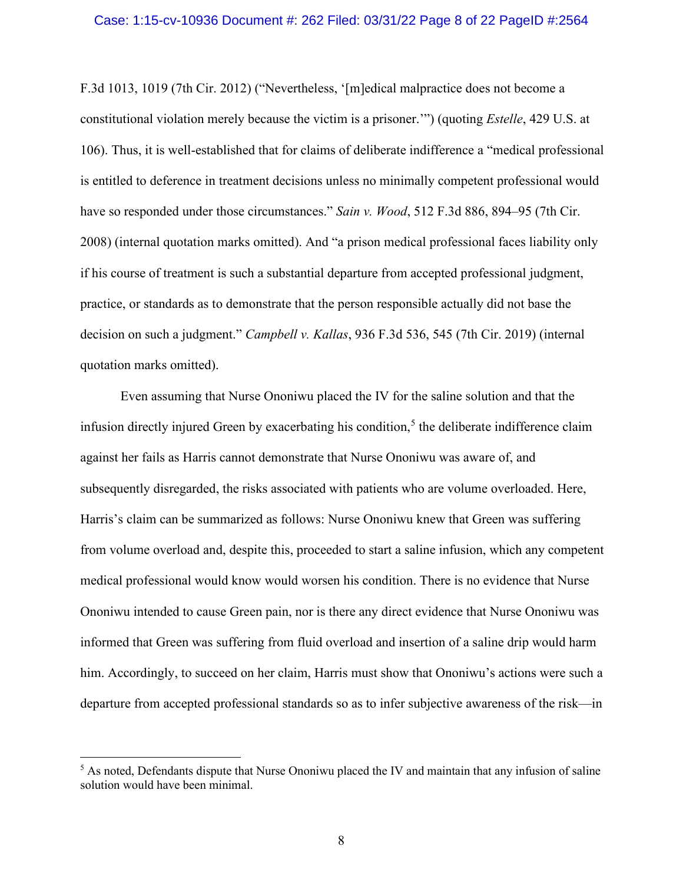F.3d 1013, 1019 (7th Cir. 2012) ("Nevertheless, '[m]edical malpractice does not become a constitutional violation merely because the victim is a prisoner.'") (quoting *Estelle*, 429 U.S. at 106). Thus, it is well-established that for claims of deliberate indifference a "medical professional is entitled to deference in treatment decisions unless no minimally competent professional would have so responded under those circumstances." *Sain v. Wood*, 512 F.3d 886, 894–95 (7th Cir. 2008) (internal quotation marks omitted). And "a prison medical professional faces liability only if his course of treatment is such a substantial departure from accepted professional judgment, practice, or standards as to demonstrate that the person responsible actually did not base the decision on such a judgment." *Campbell v. Kallas*, 936 F.3d 536, 545 (7th Cir. 2019) (internal quotation marks omitted).

Even assuming that Nurse Ononiwu placed the IV for the saline solution and that the infusion directly injured Green by exacerbating his condition,<sup>[5](#page-7-0)</sup> the deliberate indifference claim against her fails as Harris cannot demonstrate that Nurse Ononiwu was aware of, and subsequently disregarded, the risks associated with patients who are volume overloaded. Here, Harris's claim can be summarized as follows: Nurse Ononiwu knew that Green was suffering from volume overload and, despite this, proceeded to start a saline infusion, which any competent medical professional would know would worsen his condition. There is no evidence that Nurse Ononiwu intended to cause Green pain, nor is there any direct evidence that Nurse Ononiwu was informed that Green was suffering from fluid overload and insertion of a saline drip would harm him. Accordingly, to succeed on her claim, Harris must show that Ononiwu's actions were such a departure from accepted professional standards so as to infer subjective awareness of the risk—in

<span id="page-7-0"></span><sup>&</sup>lt;sup>5</sup> As noted, Defendants dispute that Nurse Ononiwu placed the IV and maintain that any infusion of saline solution would have been minimal.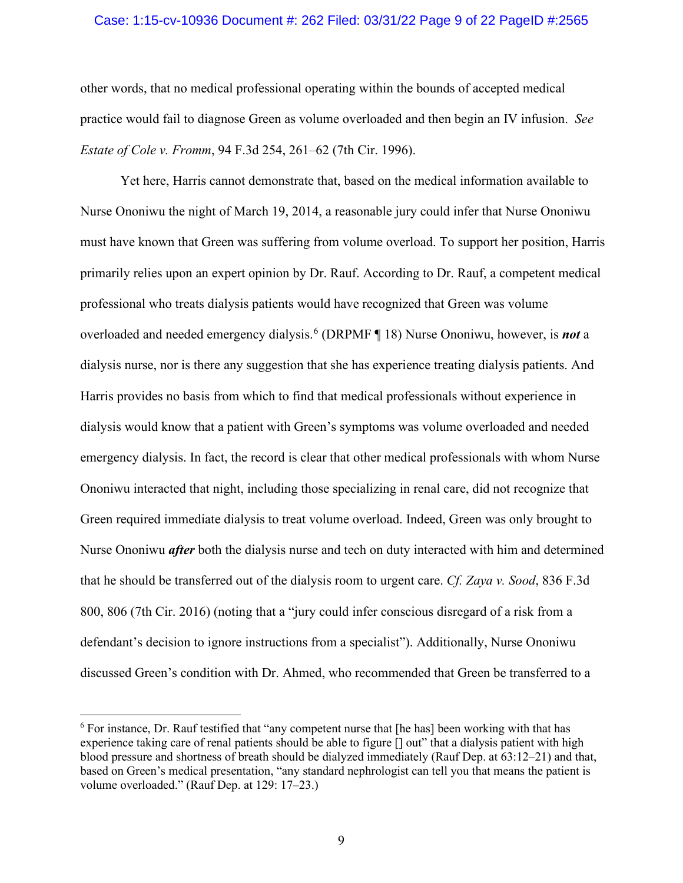# Case: 1:15-cv-10936 Document #: 262 Filed: 03/31/22 Page 9 of 22 PageID #:2565

other words, that no medical professional operating within the bounds of accepted medical practice would fail to diagnose Green as volume overloaded and then begin an IV infusion. *See Estate of Cole v. Fromm*, 94 F.3d 254, 261–62 (7th Cir. 1996).

Yet here, Harris cannot demonstrate that, based on the medical information available to Nurse Ononiwu the night of March 19, 2014, a reasonable jury could infer that Nurse Ononiwu must have known that Green was suffering from volume overload. To support her position, Harris primarily relies upon an expert opinion by Dr. Rauf. According to Dr. Rauf, a competent medical professional who treats dialysis patients would have recognized that Green was volume overloaded and needed emergency dialysis.[6](#page-8-0) (DRPMF ¶ 18) Nurse Ononiwu, however, is *not* a dialysis nurse, nor is there any suggestion that she has experience treating dialysis patients. And Harris provides no basis from which to find that medical professionals without experience in dialysis would know that a patient with Green's symptoms was volume overloaded and needed emergency dialysis. In fact, the record is clear that other medical professionals with whom Nurse Ononiwu interacted that night, including those specializing in renal care, did not recognize that Green required immediate dialysis to treat volume overload. Indeed, Green was only brought to Nurse Ononiwu *after* both the dialysis nurse and tech on duty interacted with him and determined that he should be transferred out of the dialysis room to urgent care. *Cf. Zaya v. Sood*, 836 F.3d 800, 806 (7th Cir. 2016) (noting that a "jury could infer conscious disregard of a risk from a defendant's decision to ignore instructions from a specialist"). Additionally, Nurse Ononiwu discussed Green's condition with Dr. Ahmed, who recommended that Green be transferred to a

<span id="page-8-0"></span><sup>6</sup> For instance, Dr. Rauf testified that "any competent nurse that [he has] been working with that has experience taking care of renal patients should be able to figure [] out" that a dialysis patient with high blood pressure and shortness of breath should be dialyzed immediately (Rauf Dep. at 63:12–21) and that, based on Green's medical presentation, "any standard nephrologist can tell you that means the patient is volume overloaded." (Rauf Dep. at 129: 17–23.)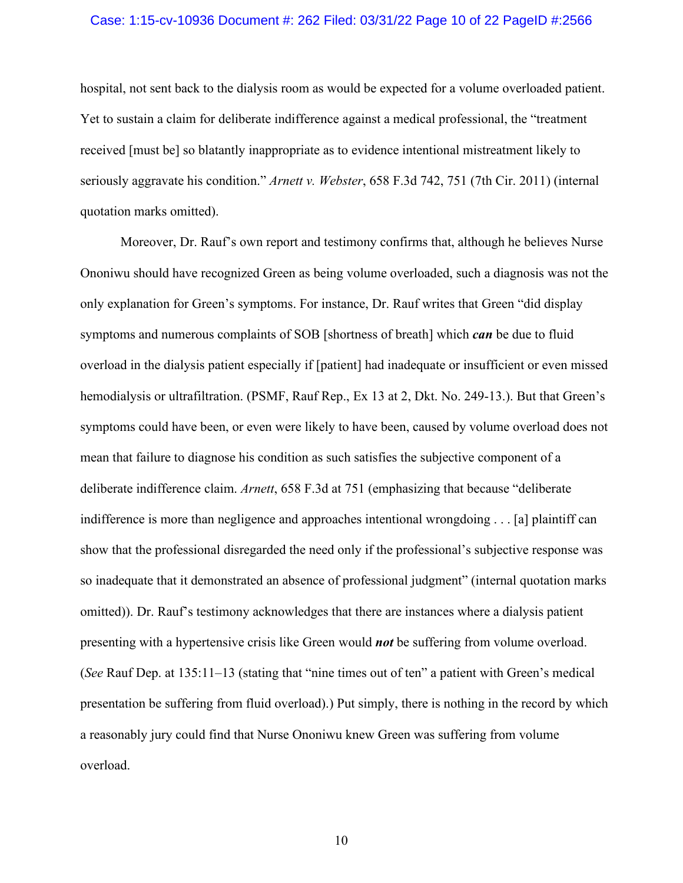# Case: 1:15-cv-10936 Document #: 262 Filed: 03/31/22 Page 10 of 22 PageID #:2566

hospital, not sent back to the dialysis room as would be expected for a volume overloaded patient. Yet to sustain a claim for deliberate indifference against a medical professional, the "treatment received [must be] so blatantly inappropriate as to evidence intentional mistreatment likely to seriously aggravate his condition." *Arnett v. Webster*, 658 F.3d 742, 751 (7th Cir. 2011) (internal quotation marks omitted).

Moreover, Dr. Rauf's own report and testimony confirms that, although he believes Nurse Ononiwu should have recognized Green as being volume overloaded, such a diagnosis was not the only explanation for Green's symptoms. For instance, Dr. Rauf writes that Green "did display symptoms and numerous complaints of SOB [shortness of breath] which *can* be due to fluid overload in the dialysis patient especially if [patient] had inadequate or insufficient or even missed hemodialysis or ultrafiltration. (PSMF, Rauf Rep., Ex 13 at 2, Dkt. No. 249-13.). But that Green's symptoms could have been, or even were likely to have been, caused by volume overload does not mean that failure to diagnose his condition as such satisfies the subjective component of a deliberate indifference claim. *Arnett*, 658 F.3d at 751 (emphasizing that because "deliberate indifference is more than negligence and approaches intentional wrongdoing . . . [a] plaintiff can show that the professional disregarded the need only if the professional's subjective response was so inadequate that it demonstrated an absence of professional judgment" (internal quotation marks omitted)). Dr. Rauf's testimony acknowledges that there are instances where a dialysis patient presenting with a hypertensive crisis like Green would *not* be suffering from volume overload. (*See* Rauf Dep. at 135:11–13 (stating that "nine times out of ten" a patient with Green's medical presentation be suffering from fluid overload).) Put simply, there is nothing in the record by which a reasonably jury could find that Nurse Ononiwu knew Green was suffering from volume overload.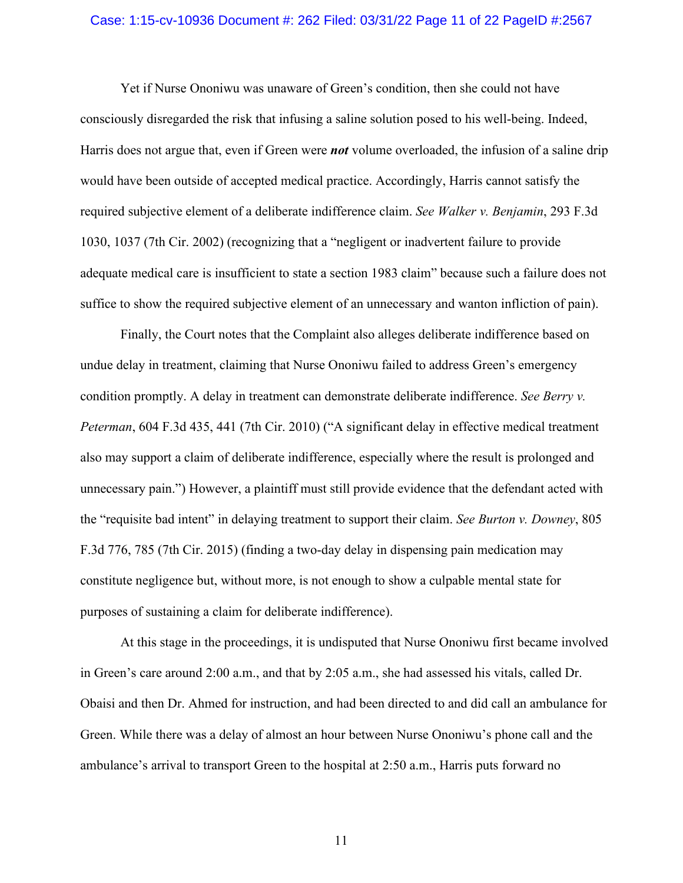# Case: 1:15-cv-10936 Document #: 262 Filed: 03/31/22 Page 11 of 22 PageID #:2567

Yet if Nurse Ononiwu was unaware of Green's condition, then she could not have consciously disregarded the risk that infusing a saline solution posed to his well-being. Indeed, Harris does not argue that, even if Green were *not* volume overloaded, the infusion of a saline drip would have been outside of accepted medical practice. Accordingly, Harris cannot satisfy the required subjective element of a deliberate indifference claim. *See Walker v. Benjamin*, 293 F.3d 1030, 1037 (7th Cir. 2002) (recognizing that a "negligent or inadvertent failure to provide adequate medical care is insufficient to state a section 1983 claim" because such a failure does not suffice to show the required subjective element of an unnecessary and wanton infliction of pain).

Finally, the Court notes that the Complaint also alleges deliberate indifference based on undue delay in treatment, claiming that Nurse Ononiwu failed to address Green's emergency condition promptly. A delay in treatment can demonstrate deliberate indifference. *See Berry v. Peterman*, 604 F.3d 435, 441 (7th Cir. 2010) ("A significant delay in effective medical treatment also may support a claim of deliberate indifference, especially where the result is prolonged and unnecessary pain.") However, a plaintiff must still provide evidence that the defendant acted with the "requisite bad intent" in delaying treatment to support their claim. *See Burton v. Downey*, 805 F.3d 776, 785 (7th Cir. 2015) (finding a two-day delay in dispensing pain medication may constitute negligence but, without more, is not enough to show a culpable mental state for purposes of sustaining a claim for deliberate indifference).

At this stage in the proceedings, it is undisputed that Nurse Ononiwu first became involved in Green's care around 2:00 a.m., and that by 2:05 a.m., she had assessed his vitals, called Dr. Obaisi and then Dr. Ahmed for instruction, and had been directed to and did call an ambulance for Green. While there was a delay of almost an hour between Nurse Ononiwu's phone call and the ambulance's arrival to transport Green to the hospital at 2:50 a.m., Harris puts forward no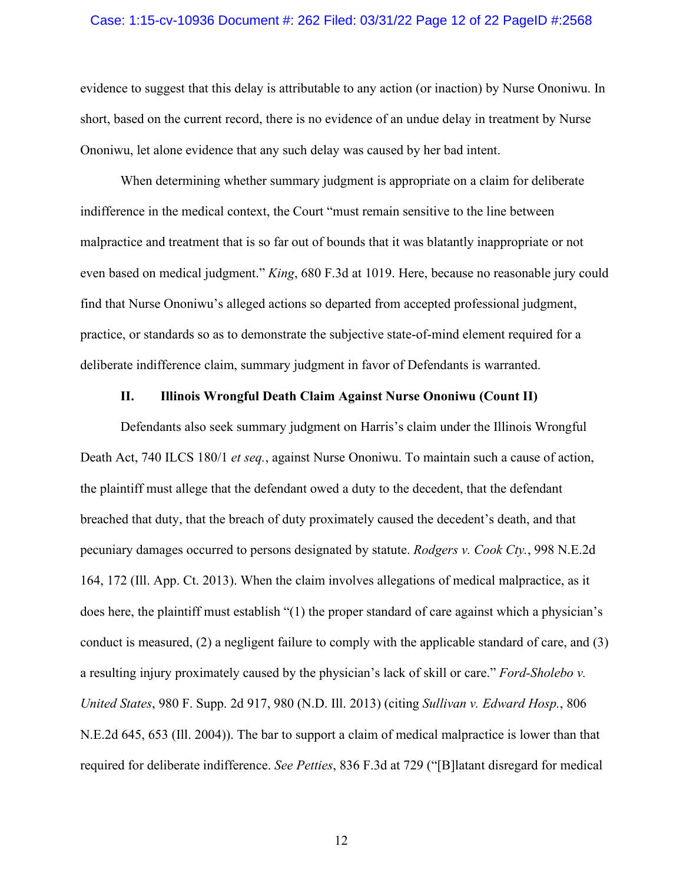# Case: 1:15-cv-10936 Document #: 262 Filed: 03/31/22 Page 12 of 22 PageID #:2568

evidence to suggest that this delay is attributable to any action (or inaction) by Nurse Ononiwu. In short, based on the current record, there is no evidence of an undue delay in treatment by Nurse Ononiwu, let alone evidence that any such delay was caused by her bad intent.

When determining whether summary judgment is appropriate on a claim for deliberate indifference in the medical context, the Court "must remain sensitive to the line between malpractice and treatment that is so far out of bounds that it was blatantly inappropriate or not even based on medical judgment." *King*, 680 F.3d at 1019. Here, because no reasonable jury could find that Nurse Ononiwu's alleged actions so departed from accepted professional judgment, practice, or standards so as to demonstrate the subjective state-of-mind element required for a deliberate indifference claim, summary judgment in favor of Defendants is warranted.

# **II. Illinois Wrongful Death Claim Against Nurse Ononiwu (Count II)**

Defendants also seek summary judgment on Harris's claim under the Illinois Wrongful Death Act, 740 ILCS 180/1 *et seq.*, against Nurse Ononiwu. To maintain such a cause of action, the plaintiff must allege that the defendant owed a duty to the decedent, that the defendant breached that duty, that the breach of duty proximately caused the decedent's death, and that pecuniary damages occurred to persons designated by statute. *Rodgers v. Cook Cty.*, 998 N.E.2d 164, 172 (Ill. App. Ct. 2013). When the claim involves allegations of medical malpractice, as it does here, the plaintiff must establish "(1) the proper standard of care against which a physician's conduct is measured, (2) a negligent failure to comply with the applicable standard of care, and (3) a resulting injury proximately caused by the physician's lack of skill or care." *Ford-Sholebo v. United States*, 980 F. Supp. 2d 917, 980 (N.D. Ill. 2013) (citing *Sullivan v. Edward Hosp.*, 806 N.E.2d 645, 653 (Ill. 2004)). The bar to support a claim of medical malpractice is lower than that required for deliberate indifference. *See Petties*, 836 F.3d at 729 ("[B]latant disregard for medical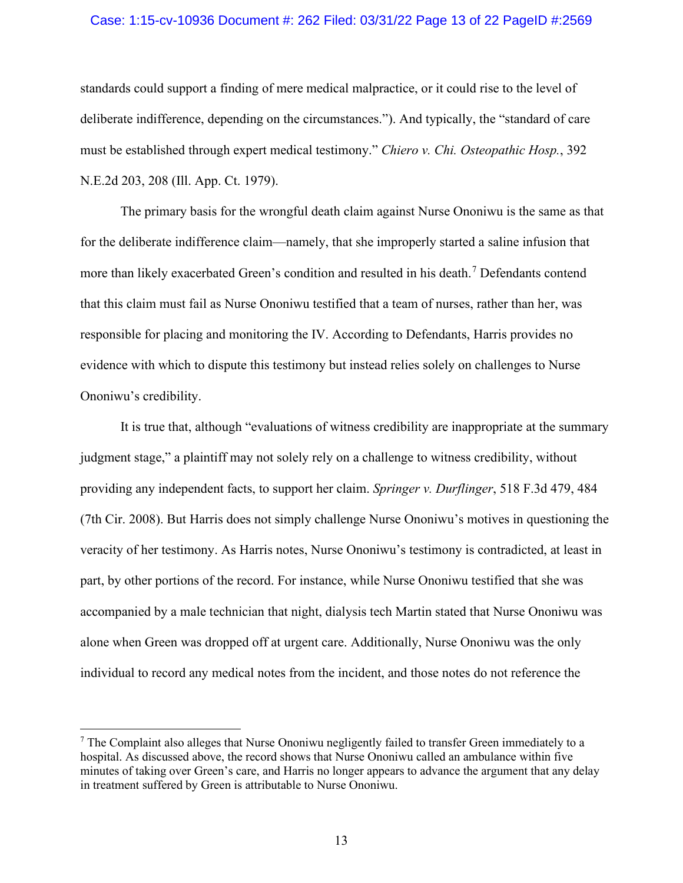# Case: 1:15-cv-10936 Document #: 262 Filed: 03/31/22 Page 13 of 22 PageID #:2569

standards could support a finding of mere medical malpractice, or it could rise to the level of deliberate indifference, depending on the circumstances."). And typically, the "standard of care must be established through expert medical testimony." *Chiero v. Chi. Osteopathic Hosp.*, 392 N.E.2d 203, 208 (Ill. App. Ct. 1979).

The primary basis for the wrongful death claim against Nurse Ononiwu is the same as that for the deliberate indifference claim—namely, that she improperly started a saline infusion that more than likely exacerbated Green's condition and resulted in his death.<sup>[7](#page-12-0)</sup> Defendants contend that this claim must fail as Nurse Ononiwu testified that a team of nurses, rather than her, was responsible for placing and monitoring the IV. According to Defendants, Harris provides no evidence with which to dispute this testimony but instead relies solely on challenges to Nurse Ononiwu's credibility.

It is true that, although "evaluations of witness credibility are inappropriate at the summary judgment stage," a plaintiff may not solely rely on a challenge to witness credibility, without providing any independent facts, to support her claim. *Springer v. Durflinger*, 518 F.3d 479, 484 (7th Cir. 2008). But Harris does not simply challenge Nurse Ononiwu's motives in questioning the veracity of her testimony. As Harris notes, Nurse Ononiwu's testimony is contradicted, at least in part, by other portions of the record. For instance, while Nurse Ononiwu testified that she was accompanied by a male technician that night, dialysis tech Martin stated that Nurse Ononiwu was alone when Green was dropped off at urgent care. Additionally, Nurse Ononiwu was the only individual to record any medical notes from the incident, and those notes do not reference the

<span id="page-12-0"></span> $<sup>7</sup>$  The Complaint also alleges that Nurse Ononiwu negligently failed to transfer Green immediately to a</sup> hospital. As discussed above, the record shows that Nurse Ononiwu called an ambulance within five minutes of taking over Green's care, and Harris no longer appears to advance the argument that any delay in treatment suffered by Green is attributable to Nurse Ononiwu.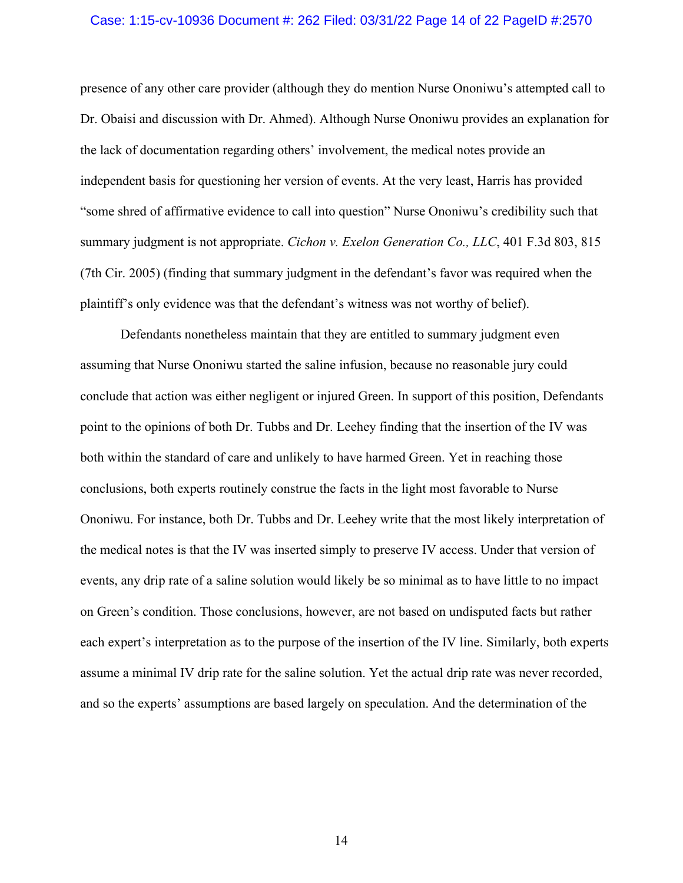# Case: 1:15-cv-10936 Document #: 262 Filed: 03/31/22 Page 14 of 22 PageID #:2570

presence of any other care provider (although they do mention Nurse Ononiwu's attempted call to Dr. Obaisi and discussion with Dr. Ahmed). Although Nurse Ononiwu provides an explanation for the lack of documentation regarding others' involvement, the medical notes provide an independent basis for questioning her version of events. At the very least, Harris has provided "some shred of affirmative evidence to call into question" Nurse Ononiwu's credibility such that summary judgment is not appropriate. *Cichon v. Exelon Generation Co., LLC*, 401 F.3d 803, 815 (7th Cir. 2005) (finding that summary judgment in the defendant's favor was required when the plaintiff's only evidence was that the defendant's witness was not worthy of belief).

Defendants nonetheless maintain that they are entitled to summary judgment even assuming that Nurse Ononiwu started the saline infusion, because no reasonable jury could conclude that action was either negligent or injured Green. In support of this position, Defendants point to the opinions of both Dr. Tubbs and Dr. Leehey finding that the insertion of the IV was both within the standard of care and unlikely to have harmed Green. Yet in reaching those conclusions, both experts routinely construe the facts in the light most favorable to Nurse Ononiwu. For instance, both Dr. Tubbs and Dr. Leehey write that the most likely interpretation of the medical notes is that the IV was inserted simply to preserve IV access. Under that version of events, any drip rate of a saline solution would likely be so minimal as to have little to no impact on Green's condition. Those conclusions, however, are not based on undisputed facts but rather each expert's interpretation as to the purpose of the insertion of the IV line. Similarly, both experts assume a minimal IV drip rate for the saline solution. Yet the actual drip rate was never recorded, and so the experts' assumptions are based largely on speculation. And the determination of the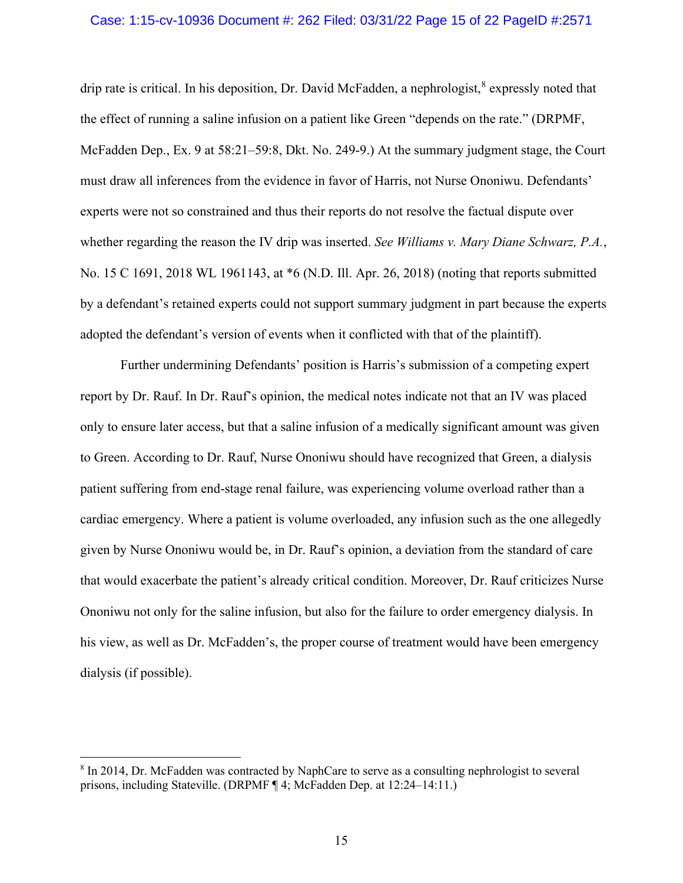# Case: 1:15-cv-10936 Document #: 262 Filed: 03/31/22 Page 15 of 22 PageID #:2571

drip rate is critical. In his deposition, Dr. David McFadden, a nephrologist,  $8$  expressly noted that the effect of running a saline infusion on a patient like Green "depends on the rate." (DRPMF, McFadden Dep., Ex. 9 at 58:21–59:8, Dkt. No. 249-9.) At the summary judgment stage, the Court must draw all inferences from the evidence in favor of Harris, not Nurse Ononiwu. Defendants' experts were not so constrained and thus their reports do not resolve the factual dispute over whether regarding the reason the IV drip was inserted. *See Williams v. Mary Diane Schwarz, P.A.*, No. 15 C 1691, 2018 WL 1961143, at \*6 (N.D. Ill. Apr. 26, 2018) (noting that reports submitted by a defendant's retained experts could not support summary judgment in part because the experts adopted the defendant's version of events when it conflicted with that of the plaintiff).

Further undermining Defendants' position is Harris's submission of a competing expert report by Dr. Rauf. In Dr. Rauf's opinion, the medical notes indicate not that an IV was placed only to ensure later access, but that a saline infusion of a medically significant amount was given to Green. According to Dr. Rauf, Nurse Ononiwu should have recognized that Green, a dialysis patient suffering from end-stage renal failure, was experiencing volume overload rather than a cardiac emergency. Where a patient is volume overloaded, any infusion such as the one allegedly given by Nurse Ononiwu would be, in Dr. Rauf's opinion, a deviation from the standard of care that would exacerbate the patient's already critical condition. Moreover, Dr. Rauf criticizes Nurse Ononiwu not only for the saline infusion, but also for the failure to order emergency dialysis. In his view, as well as Dr. McFadden's, the proper course of treatment would have been emergency dialysis (if possible).

<span id="page-14-0"></span><sup>8</sup> In 2014, Dr. McFadden was contracted by NaphCare to serve as a consulting nephrologist to several prisons, including Stateville. (DRPMF ¶ 4; McFadden Dep. at 12:24–14:11.)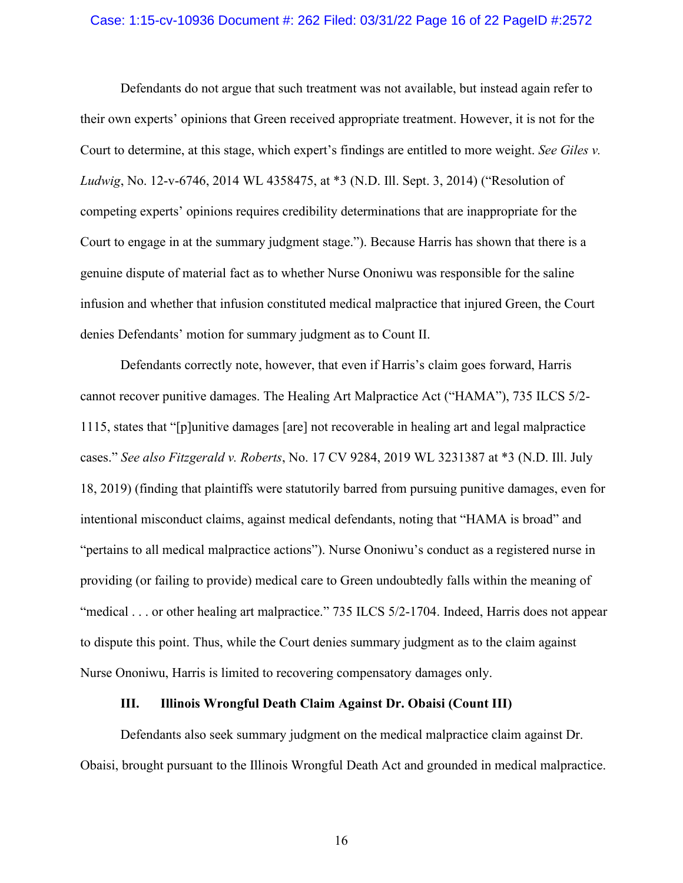# Case: 1:15-cv-10936 Document #: 262 Filed: 03/31/22 Page 16 of 22 PageID #:2572

Defendants do not argue that such treatment was not available, but instead again refer to their own experts' opinions that Green received appropriate treatment. However, it is not for the Court to determine, at this stage, which expert's findings are entitled to more weight. *See Giles v. Ludwig*, No. 12-v-6746, 2014 WL 4358475, at \*3 (N.D. Ill. Sept. 3, 2014) ("Resolution of competing experts' opinions requires credibility determinations that are inappropriate for the Court to engage in at the summary judgment stage."). Because Harris has shown that there is a genuine dispute of material fact as to whether Nurse Ononiwu was responsible for the saline infusion and whether that infusion constituted medical malpractice that injured Green, the Court denies Defendants' motion for summary judgment as to Count II.

Defendants correctly note, however, that even if Harris's claim goes forward, Harris cannot recover punitive damages. The Healing Art Malpractice Act ("HAMA"), 735 ILCS 5/2- 1115, states that "[p]unitive damages [are] not recoverable in healing art and legal malpractice cases." *See also Fitzgerald v. Roberts*, No. 17 CV 9284, 2019 WL 3231387 at \*3 (N.D. Ill. July 18, 2019) (finding that plaintiffs were statutorily barred from pursuing punitive damages, even for intentional misconduct claims, against medical defendants, noting that "HAMA is broad" and "pertains to all medical malpractice actions"). Nurse Ononiwu's conduct as a registered nurse in providing (or failing to provide) medical care to Green undoubtedly falls within the meaning of "medical . . . or other healing art malpractice." 735 ILCS 5/2-1704. Indeed, Harris does not appear to dispute this point. Thus, while the Court denies summary judgment as to the claim against Nurse Ononiwu, Harris is limited to recovering compensatory damages only.

# **III. Illinois Wrongful Death Claim Against Dr. Obaisi (Count III)**

Defendants also seek summary judgment on the medical malpractice claim against Dr. Obaisi, brought pursuant to the Illinois Wrongful Death Act and grounded in medical malpractice.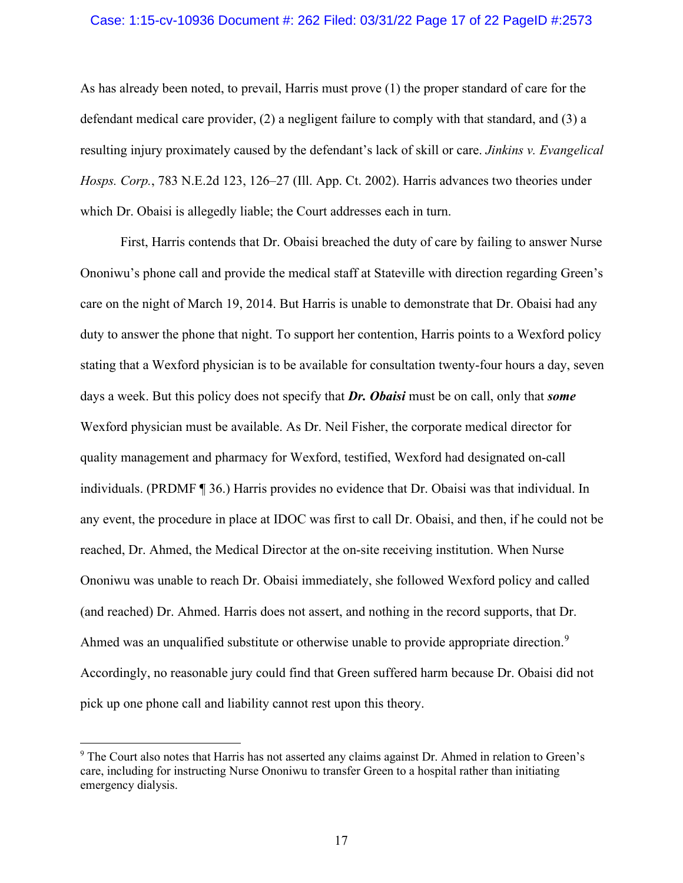# Case: 1:15-cv-10936 Document #: 262 Filed: 03/31/22 Page 17 of 22 PageID #:2573

As has already been noted, to prevail, Harris must prove (1) the proper standard of care for the defendant medical care provider, (2) a negligent failure to comply with that standard, and (3) a resulting injury proximately caused by the defendant's lack of skill or care. *Jinkins v. Evangelical Hosps. Corp.*, 783 N.E.2d 123, 126–27 (Ill. App. Ct. 2002). Harris advances two theories under which Dr. Obaisi is allegedly liable; the Court addresses each in turn.

First, Harris contends that Dr. Obaisi breached the duty of care by failing to answer Nurse Ononiwu's phone call and provide the medical staff at Stateville with direction regarding Green's care on the night of March 19, 2014. But Harris is unable to demonstrate that Dr. Obaisi had any duty to answer the phone that night. To support her contention, Harris points to a Wexford policy stating that a Wexford physician is to be available for consultation twenty-four hours a day, seven days a week. But this policy does not specify that *Dr. Obaisi* must be on call, only that *some* Wexford physician must be available. As Dr. Neil Fisher, the corporate medical director for quality management and pharmacy for Wexford, testified, Wexford had designated on-call individuals. (PRDMF ¶ 36.) Harris provides no evidence that Dr. Obaisi was that individual. In any event, the procedure in place at IDOC was first to call Dr. Obaisi, and then, if he could not be reached, Dr. Ahmed, the Medical Director at the on-site receiving institution. When Nurse Ononiwu was unable to reach Dr. Obaisi immediately, she followed Wexford policy and called (and reached) Dr. Ahmed. Harris does not assert, and nothing in the record supports, that Dr. Ahmed was an unqualified substitute or otherwise unable to provide appropriate direction.<sup>[9](#page-16-0)</sup> Accordingly, no reasonable jury could find that Green suffered harm because Dr. Obaisi did not pick up one phone call and liability cannot rest upon this theory.

<span id="page-16-0"></span><sup>9</sup> The Court also notes that Harris has not asserted any claims against Dr. Ahmed in relation to Green's care, including for instructing Nurse Ononiwu to transfer Green to a hospital rather than initiating emergency dialysis.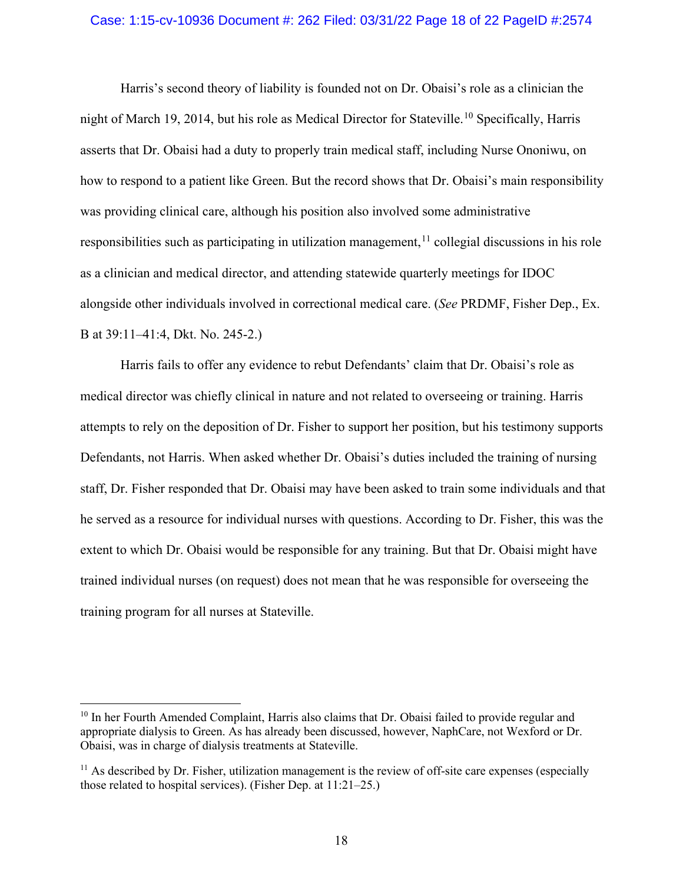# Case: 1:15-cv-10936 Document #: 262 Filed: 03/31/22 Page 18 of 22 PageID #:2574

Harris's second theory of liability is founded not on Dr. Obaisi's role as a clinician the night of March 19, 2014, but his role as Medical Director for Stateville.<sup>[10](#page-17-0)</sup> Specifically, Harris asserts that Dr. Obaisi had a duty to properly train medical staff, including Nurse Ononiwu, on how to respond to a patient like Green. But the record shows that Dr. Obaisi's main responsibility was providing clinical care, although his position also involved some administrative responsibilities such as participating in utilization management, <sup>[11](#page-17-1)</sup> collegial discussions in his role as a clinician and medical director, and attending statewide quarterly meetings for IDOC alongside other individuals involved in correctional medical care. (*See* PRDMF, Fisher Dep., Ex. B at 39:11–41:4, Dkt. No. 245-2.)

Harris fails to offer any evidence to rebut Defendants' claim that Dr. Obaisi's role as medical director was chiefly clinical in nature and not related to overseeing or training. Harris attempts to rely on the deposition of Dr. Fisher to support her position, but his testimony supports Defendants, not Harris. When asked whether Dr. Obaisi's duties included the training of nursing staff, Dr. Fisher responded that Dr. Obaisi may have been asked to train some individuals and that he served as a resource for individual nurses with questions. According to Dr. Fisher, this was the extent to which Dr. Obaisi would be responsible for any training. But that Dr. Obaisi might have trained individual nurses (on request) does not mean that he was responsible for overseeing the training program for all nurses at Stateville.

<span id="page-17-0"></span><sup>&</sup>lt;sup>10</sup> In her Fourth Amended Complaint, Harris also claims that Dr. Obaisi failed to provide regular and appropriate dialysis to Green. As has already been discussed, however, NaphCare, not Wexford or Dr. Obaisi, was in charge of dialysis treatments at Stateville.

<span id="page-17-1"></span> $11$  As described by Dr. Fisher, utilization management is the review of off-site care expenses (especially those related to hospital services). (Fisher Dep. at 11:21–25.)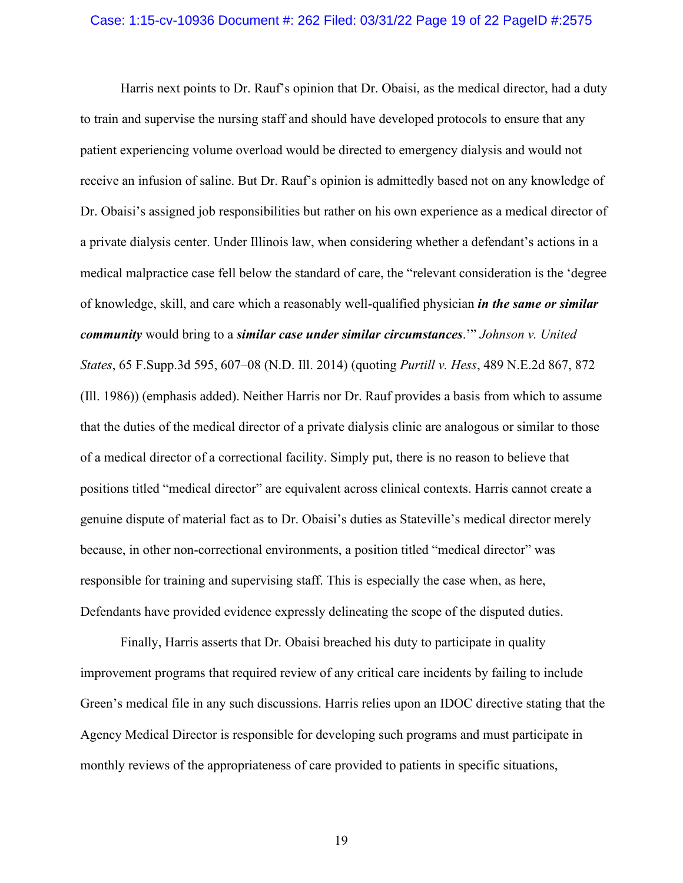## Case: 1:15-cv-10936 Document #: 262 Filed: 03/31/22 Page 19 of 22 PageID #:2575

Harris next points to Dr. Rauf's opinion that Dr. Obaisi, as the medical director, had a duty to train and supervise the nursing staff and should have developed protocols to ensure that any patient experiencing volume overload would be directed to emergency dialysis and would not receive an infusion of saline. But Dr. Rauf's opinion is admittedly based not on any knowledge of Dr. Obaisi's assigned job responsibilities but rather on his own experience as a medical director of a private dialysis center. Under Illinois law, when considering whether a defendant's actions in a medical malpractice case fell below the standard of care, the "relevant consideration is the 'degree of knowledge, skill, and care which a reasonably well-qualified physician *in the same or similar community* would bring to a *similar case under similar circumstances*.'" *Johnson v. United States*, 65 F.Supp.3d 595, 607–08 (N.D. Ill. 2014) (quoting *Purtill v. Hess*, 489 N.E.2d 867, 872 (Ill. 1986)) (emphasis added). Neither Harris nor Dr. Rauf provides a basis from which to assume that the duties of the medical director of a private dialysis clinic are analogous or similar to those of a medical director of a correctional facility. Simply put, there is no reason to believe that positions titled "medical director" are equivalent across clinical contexts. Harris cannot create a genuine dispute of material fact as to Dr. Obaisi's duties as Stateville's medical director merely because, in other non-correctional environments, a position titled "medical director" was responsible for training and supervising staff. This is especially the case when, as here, Defendants have provided evidence expressly delineating the scope of the disputed duties.

Finally, Harris asserts that Dr. Obaisi breached his duty to participate in quality improvement programs that required review of any critical care incidents by failing to include Green's medical file in any such discussions. Harris relies upon an IDOC directive stating that the Agency Medical Director is responsible for developing such programs and must participate in monthly reviews of the appropriateness of care provided to patients in specific situations,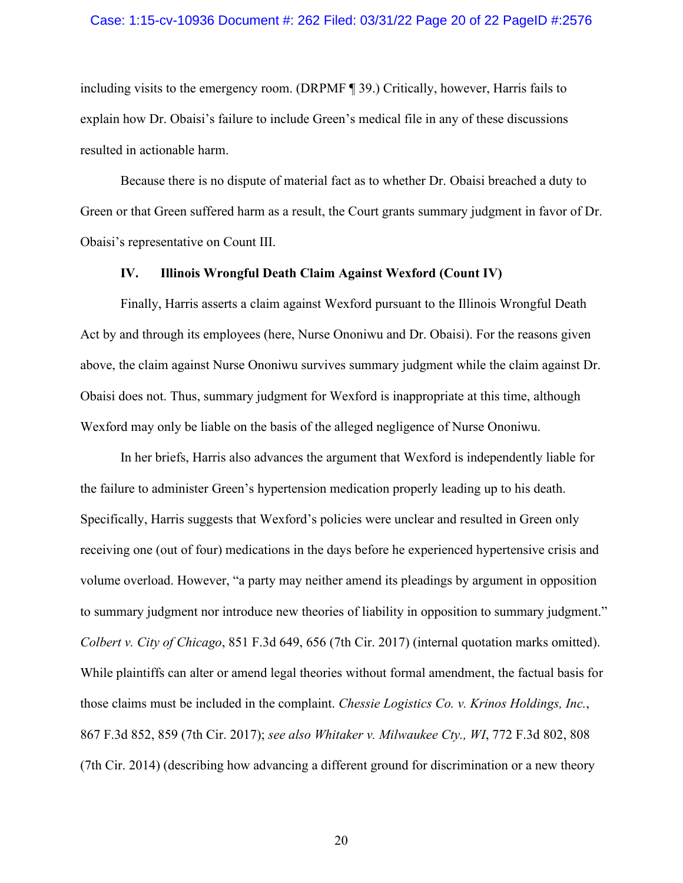# Case: 1:15-cv-10936 Document #: 262 Filed: 03/31/22 Page 20 of 22 PageID #:2576

including visits to the emergency room. (DRPMF ¶ 39.) Critically, however, Harris fails to explain how Dr. Obaisi's failure to include Green's medical file in any of these discussions resulted in actionable harm.

Because there is no dispute of material fact as to whether Dr. Obaisi breached a duty to Green or that Green suffered harm as a result, the Court grants summary judgment in favor of Dr. Obaisi's representative on Count III.

# **IV. Illinois Wrongful Death Claim Against Wexford (Count IV)**

Finally, Harris asserts a claim against Wexford pursuant to the Illinois Wrongful Death Act by and through its employees (here, Nurse Ononiwu and Dr. Obaisi). For the reasons given above, the claim against Nurse Ononiwu survives summary judgment while the claim against Dr. Obaisi does not. Thus, summary judgment for Wexford is inappropriate at this time, although Wexford may only be liable on the basis of the alleged negligence of Nurse Ononiwu.

In her briefs, Harris also advances the argument that Wexford is independently liable for the failure to administer Green's hypertension medication properly leading up to his death. Specifically, Harris suggests that Wexford's policies were unclear and resulted in Green only receiving one (out of four) medications in the days before he experienced hypertensive crisis and volume overload. However, "a party may neither amend its pleadings by argument in opposition to summary judgment nor introduce new theories of liability in opposition to summary judgment." *Colbert v. City of Chicago*, 851 F.3d 649, 656 (7th Cir. 2017) (internal quotation marks omitted). While plaintiffs can alter or amend legal theories without formal amendment, the factual basis for those claims must be included in the complaint. *Chessie Logistics Co. v. Krinos Holdings, Inc.*, 867 F.3d 852, 859 (7th Cir. 2017); *see also Whitaker v. Milwaukee Cty., WI*, 772 F.3d 802, 808 (7th Cir. 2014) (describing how advancing a different ground for discrimination or a new theory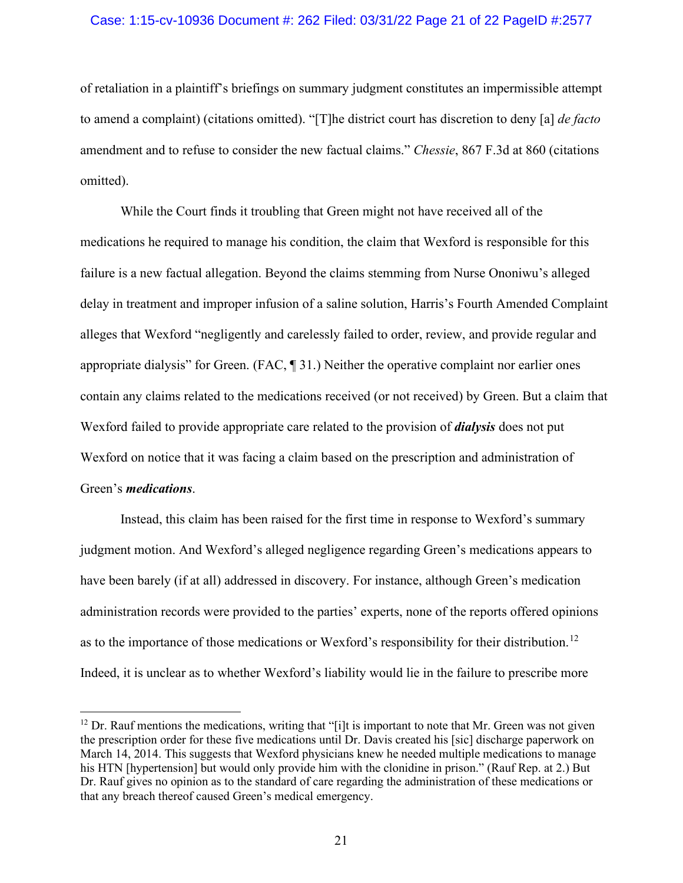# Case: 1:15-cv-10936 Document #: 262 Filed: 03/31/22 Page 21 of 22 PageID #:2577

of retaliation in a plaintiff's briefings on summary judgment constitutes an impermissible attempt to amend a complaint) (citations omitted). "[T]he district court has discretion to deny [a] *de facto*  amendment and to refuse to consider the new factual claims." *Chessie*, 867 F.3d at 860 (citations omitted).

While the Court finds it troubling that Green might not have received all of the medications he required to manage his condition, the claim that Wexford is responsible for this failure is a new factual allegation. Beyond the claims stemming from Nurse Ononiwu's alleged delay in treatment and improper infusion of a saline solution, Harris's Fourth Amended Complaint alleges that Wexford "negligently and carelessly failed to order, review, and provide regular and appropriate dialysis" for Green. (FAC, ¶ 31.) Neither the operative complaint nor earlier ones contain any claims related to the medications received (or not received) by Green. But a claim that Wexford failed to provide appropriate care related to the provision of *dialysis* does not put Wexford on notice that it was facing a claim based on the prescription and administration of Green's *medications*.

Instead, this claim has been raised for the first time in response to Wexford's summary judgment motion. And Wexford's alleged negligence regarding Green's medications appears to have been barely (if at all) addressed in discovery. For instance, although Green's medication administration records were provided to the parties' experts, none of the reports offered opinions as to the importance of those medications or Wexford's responsibility for their distribution.<sup>[12](#page-20-0)</sup> Indeed, it is unclear as to whether Wexford's liability would lie in the failure to prescribe more

<span id="page-20-0"></span> $12$  Dr. Rauf mentions the medications, writing that "[i]t is important to note that Mr. Green was not given the prescription order for these five medications until Dr. Davis created his [sic] discharge paperwork on March 14, 2014. This suggests that Wexford physicians knew he needed multiple medications to manage his HTN [hypertension] but would only provide him with the clonidine in prison." (Rauf Rep. at 2.) But Dr. Rauf gives no opinion as to the standard of care regarding the administration of these medications or that any breach thereof caused Green's medical emergency.